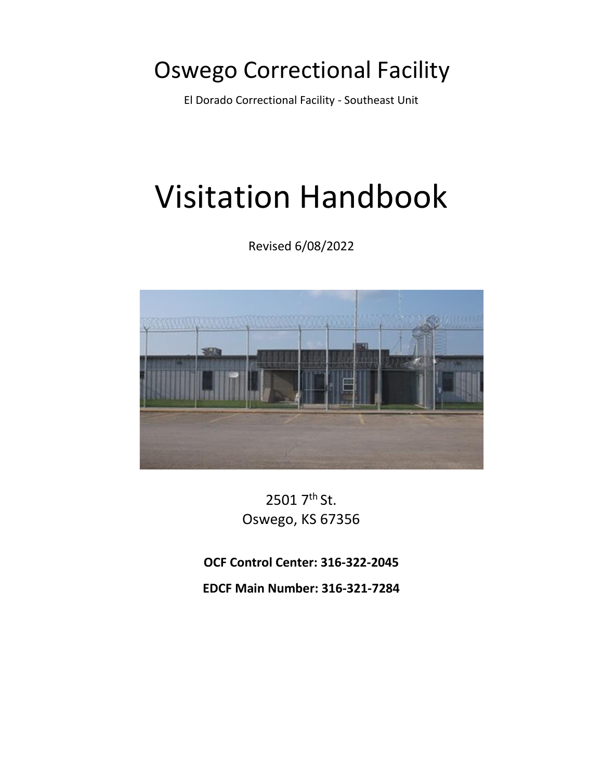# Oswego Correctional Facility

El Dorado Correctional Facility - Southeast Unit

# Visitation Handbook

Revised 6/08/2022



2501 7th St. Oswego, KS 67356

**OCF Control Center: 316-322-2045** 

**EDCF Main Number: 316-321-7284**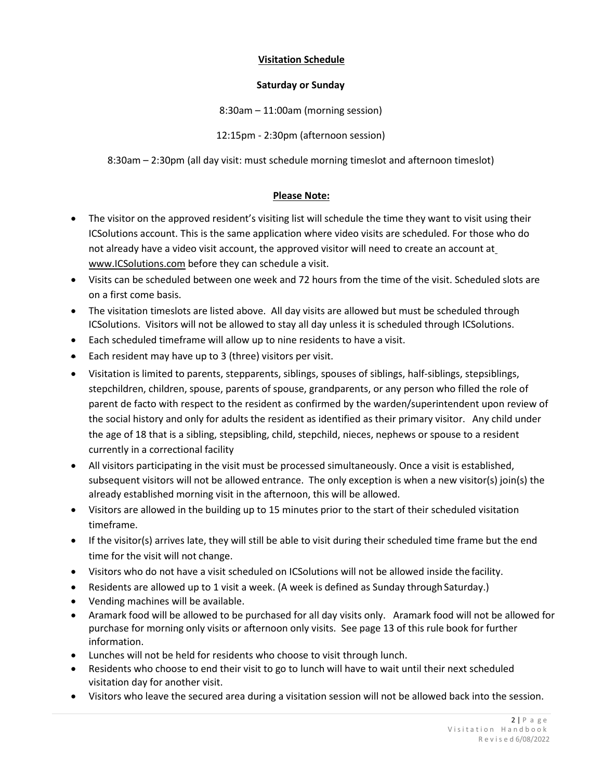#### **Visitation Schedule**

#### **Saturday or Sunday**

8:30am – 11:00am (morning session)

12:15pm - 2:30pm (afternoon session)

8:30am – 2:30pm (all day visit: must schedule morning timeslot and afternoon timeslot)

#### **Please Note:**

- The visitor on the approved resident's visiting list will schedule the time they want to visit using their ICSolutions account. This is the same application where video visits are scheduled. For those who do not already have a video visit account, the approved visitor will need to create an account at [www.ICSolutions.com](http://www.icsolutions.com/) before they can schedule a visit.
- Visits can be scheduled between one week and 72 hours from the time of the visit. Scheduled slots are on a first come basis.
- The visitation timeslots are listed above. All day visits are allowed but must be scheduled through ICSolutions. Visitors will not be allowed to stay all day unless it is scheduled through ICSolutions.
- Each scheduled timeframe will allow up to nine residents to have a visit.
- Each resident may have up to 3 (three) visitors per visit.
- Visitation is limited to parents, stepparents, siblings, spouses of siblings, half-siblings, stepsiblings, stepchildren, children, spouse, parents of spouse, grandparents, or any person who filled the role of parent de facto with respect to the resident as confirmed by the warden/superintendent upon review of the social history and only for adults the resident as identified as their primary visitor. Any child under the age of 18 that is a sibling, stepsibling, child, stepchild, nieces, nephews or spouse to a resident currently in a correctional facility
- All visitors participating in the visit must be processed simultaneously. Once a visit is established, subsequent visitors will not be allowed entrance. The only exception is when a new visitor(s) join(s) the already established morning visit in the afternoon, this will be allowed.
- Visitors are allowed in the building up to 15 minutes prior to the start of their scheduled visitation timeframe.
- If the visitor(s) arrives late, they will still be able to visit during their scheduled time frame but the end time for the visit will not change.
- Visitors who do not have a visit scheduled on ICSolutions will not be allowed inside the facility.
- Residents are allowed up to 1 visit a week. (A week is defined as Sunday through Saturday.)
- Vending machines will be available.
- Aramark food will be allowed to be purchased for all day visits only. Aramark food will not be allowed for purchase for morning only visits or afternoon only visits. See page 13 of this rule book for further information.
- Lunches will not be held for residents who choose to visit through lunch.
- Residents who choose to end their visit to go to lunch will have to wait until their next scheduled visitation day for another visit.
- Visitors who leave the secured area during a visitation session will not be allowed back into the session.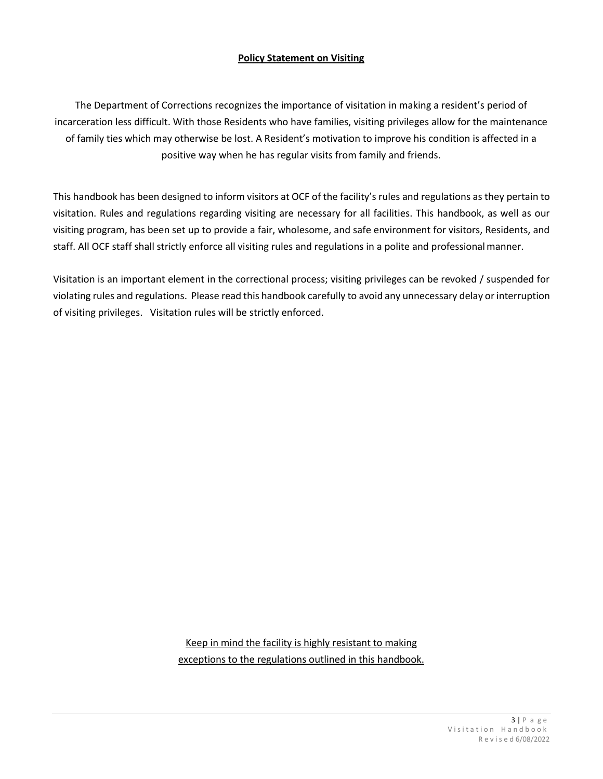#### **Policy Statement on Visiting**

The Department of Corrections recognizes the importance of visitation in making a resident's period of incarceration less difficult. With those Residents who have families, visiting privileges allow for the maintenance of family ties which may otherwise be lost. A Resident's motivation to improve his condition is affected in a positive way when he has regular visits from family and friends.

This handbook has been designed to inform visitors at OCF of the facility's rules and regulations as they pertain to visitation. Rules and regulations regarding visiting are necessary for all facilities. This handbook, as well as our visiting program, has been set up to provide a fair, wholesome, and safe environment for visitors, Residents, and staff. All OCF staff shall strictly enforce all visiting rules and regulations in a polite and professionalmanner.

Visitation is an important element in the correctional process; visiting privileges can be revoked / suspended for violating rules and regulations. Please read this handbook carefully to avoid any unnecessary delay orinterruption of visiting privileges. Visitation rules will be strictly enforced.

> Keep in mind the facility is highly resistant to making exceptions to the regulations outlined in this handbook.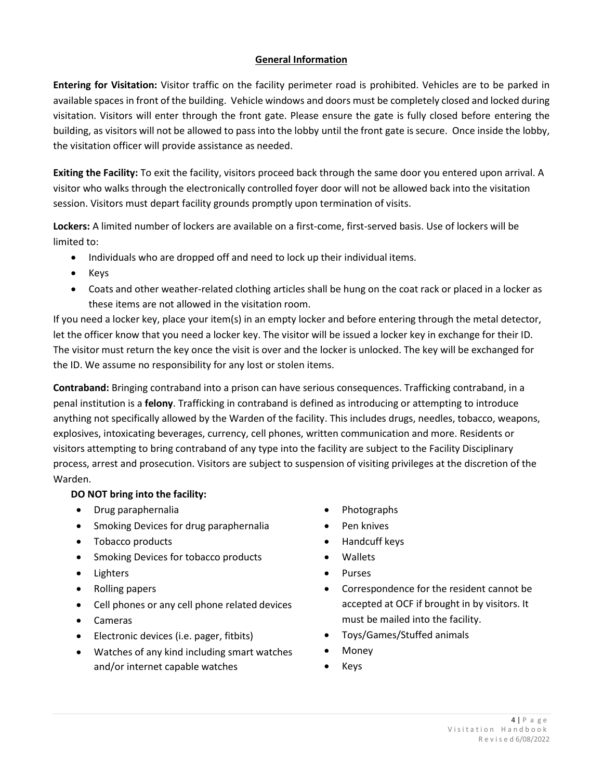# **General Information**

**Entering for Visitation:** Visitor traffic on the facility perimeter road is prohibited. Vehicles are to be parked in available spaces in front of the building. Vehicle windows and doors must be completely closed and locked during visitation. Visitors will enter through the front gate. Please ensure the gate is fully closed before entering the building, as visitors will not be allowed to pass into the lobby until the front gate is secure. Once inside the lobby, the visitation officer will provide assistance as needed.

**Exiting the Facility:** To exit the facility, visitors proceed back through the same door you entered upon arrival. A visitor who walks through the electronically controlled foyer door will not be allowed back into the visitation session. Visitors must depart facility grounds promptly upon termination of visits.

**Lockers:** A limited number of lockers are available on a first-come, first-served basis. Use of lockers will be limited to:

- Individuals who are dropped off and need to lock up their individual items.
- Keys
- Coats and other weather-related clothing articles shall be hung on the coat rack or placed in a locker as these items are not allowed in the visitation room.

If you need a locker key, place your item(s) in an empty locker and before entering through the metal detector, let the officer know that you need a locker key. The visitor will be issued a locker key in exchange for their ID. The visitor must return the key once the visit is over and the locker is unlocked. The key will be exchanged for the ID. We assume no responsibility for any lost or stolen items.

**Contraband:** Bringing contraband into a prison can have serious consequences. Trafficking contraband, in a penal institution is a **felony**. Trafficking in contraband is defined as introducing or attempting to introduce anything not specifically allowed by the Warden of the facility. This includes drugs, needles, tobacco, weapons, explosives, intoxicating beverages, currency, cell phones, written communication and more. Residents or visitors attempting to bring contraband of any type into the facility are subject to the Facility Disciplinary process, arrest and prosecution. Visitors are subject to suspension of visiting privileges at the discretion of the Warden.

# **DO NOT bring into the facility:**

- Drug paraphernalia
- Smoking Devices for drug paraphernalia
- Tobacco products
- Smoking Devices for tobacco products
- Lighters
- Rolling papers
- Cell phones or any cell phone related devices
- Cameras
- Electronic devices (i.e. pager, fitbits)
- Watches of any kind including smart watches and/or internet capable watches
- Photographs
- Pen knives
- Handcuff keys
- Wallets
- **Purses**
- Correspondence for the resident cannot be accepted at OCF if brought in by visitors. It must be mailed into the facility.
- Toys/Games/Stuffed animals
- Money
- Keys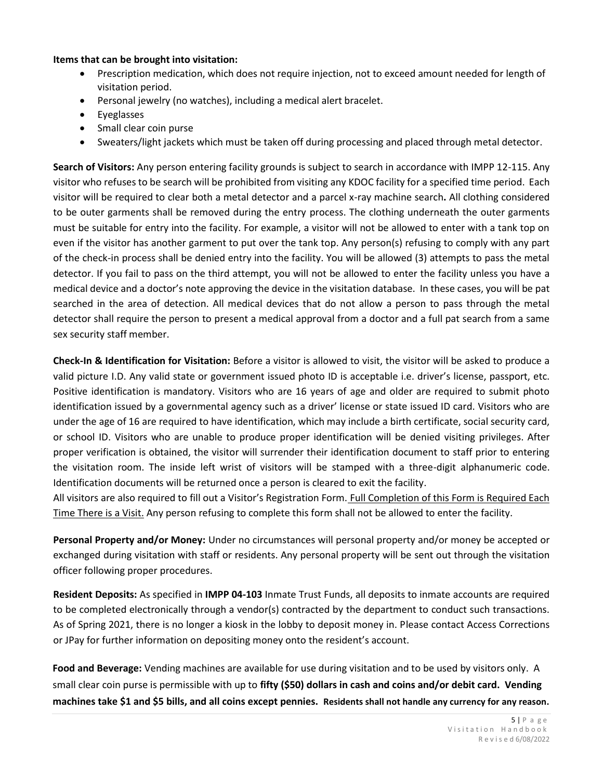#### **Items that can be brought into visitation:**

- Prescription medication, which does not require injection, not to exceed amount needed for length of visitation period.
- Personal jewelry (no watches), including a medical alert bracelet.
- Eyeglasses
- Small clear coin purse
- Sweaters/light jackets which must be taken off during processing and placed through metal detector.

**Search of Visitors:** Any person entering facility grounds is subject to search in accordance with IMPP 12-115. Any visitor who refuses to be search will be prohibited from visiting any KDOC facility for a specified time period. Each visitor will be required to clear both a metal detector and a parcel x-ray machine search**.** All clothing considered to be outer garments shall be removed during the entry process. The clothing underneath the outer garments must be suitable for entry into the facility. For example, a visitor will not be allowed to enter with a tank top on even if the visitor has another garment to put over the tank top. Any person(s) refusing to comply with any part of the check-in process shall be denied entry into the facility. You will be allowed (3) attempts to pass the metal detector. If you fail to pass on the third attempt, you will not be allowed to enter the facility unless you have a medical device and a doctor's note approving the device in the visitation database. In these cases, you will be pat searched in the area of detection. All medical devices that do not allow a person to pass through the metal detector shall require the person to present a medical approval from a doctor and a full pat search from a same sex security staff member.

**Check-In & Identification for Visitation:** Before a visitor is allowed to visit, the visitor will be asked to produce a valid picture I.D. Any valid state or government issued photo ID is acceptable i.e. driver's license, passport, etc. Positive identification is mandatory. Visitors who are 16 years of age and older are required to submit photo identification issued by a governmental agency such as a driver' license or state issued ID card. Visitors who are under the age of 16 are required to have identification, which may include a birth certificate, social security card, or school ID. Visitors who are unable to produce proper identification will be denied visiting privileges. After proper verification is obtained, the visitor will surrender their identification document to staff prior to entering the visitation room. The inside left wrist of visitors will be stamped with a three-digit alphanumeric code. Identification documents will be returned once a person is cleared to exit the facility.

All visitors are also required to fill out a Visitor's Registration Form. Full Completion of this Form is Required Each Time There is a Visit. Any person refusing to complete this form shall not be allowed to enter the facility.

**Personal Property and/or Money:** Under no circumstances will personal property and/or money be accepted or exchanged during visitation with staff or residents. Any personal property will be sent out through the visitation officer following proper procedures.

**Resident Deposits:** As specified in **IMPP 04-103** Inmate Trust Funds, all deposits to inmate accounts are required to be completed electronically through a vendor(s) contracted by the department to conduct such transactions. As of Spring 2021, there is no longer a kiosk in the lobby to deposit money in. Please contact Access Corrections or JPay for further information on depositing money onto the resident's account.

**Food and Beverage:** Vending machines are available for use during visitation and to be used by visitors only. A small clear coin purse is permissible with up to **fifty (\$50) dollars in cash and coins and/or debit card. Vending machines take \$1 and \$5 bills, and all coins except pennies. Residents shall not handle any currency for any reason.**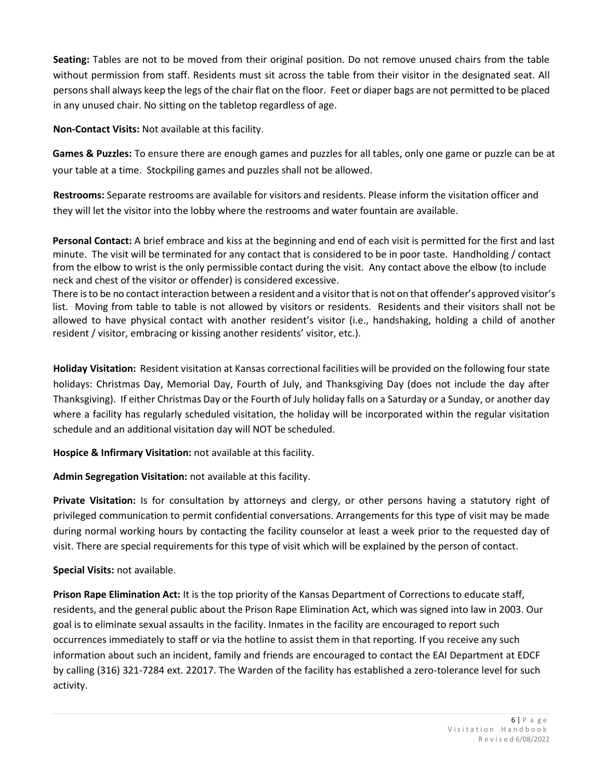**Seating:** Tables are not to be moved from their original position. Do not remove unused chairs from the table without permission from staff. Residents must sit across the table from their visitor in the designated seat. All personsshall always keep the legs of the chair flat on the floor. Feet or diaper bags are not permitted to be placed in any unused chair. No sitting on the tabletop regardless of age.

**Non-Contact Visits:** Not available at this facility.

**Games & Puzzles:** To ensure there are enough games and puzzles for all tables, only one game or puzzle can be at your table at a time. Stockpiling games and puzzles shall not be allowed.

**Restrooms:** Separate restrooms are available for visitors and residents. Please inform the visitation officer and they will let the visitor into the lobby where the restrooms and water fountain are available.

**Personal Contact:** A brief embrace and kiss at the beginning and end of each visit is permitted for the first and last minute. The visit will be terminated for any contact that is considered to be in poor taste. Handholding / contact from the elbow to wrist is the only permissible contact during the visit. Any contact above the elbow (to include neck and chest of the visitor or offender) is considered excessive.

There is to be no contact interaction between a resident and a visitor that is not on that offender's approved visitor's list. Moving from table to table is not allowed by visitors or residents. Residents and their visitors shall not be allowed to have physical contact with another resident's visitor (i.e., handshaking, holding a child of another resident / visitor, embracing or kissing another residents' visitor, etc.).

**Holiday Visitation:** Resident visitation at Kansas correctional facilities will be provided on the following four state holidays: Christmas Day, Memorial Day, Fourth of July, and Thanksgiving Day (does not include the day after Thanksgiving). If either Christmas Day or the Fourth of July holiday falls on a Saturday or a Sunday, or another day where a facility has regularly scheduled visitation, the holiday will be incorporated within the regular visitation schedule and an additional visitation day will NOT be scheduled.

**Hospice & Infirmary Visitation:** not available at this facility.

**Admin Segregation Visitation:** not available at this facility.

**Private Visitation:** Is for consultation by attorneys and clergy, or other persons having a statutory right of privileged communication to permit confidential conversations. Arrangements for this type of visit may be made during normal working hours by contacting the facility counselor at least a week prior to the requested day of visit. There are special requirements for this type of visit which will be explained by the person of contact.

**Special Visits:** not available.

**Prison Rape Elimination Act:** It is the top priority of the Kansas Department of Corrections to educate staff, residents, and the general public about the Prison Rape Elimination Act, which was signed into law in 2003. Our goal is to eliminate sexual assaults in the facility. Inmates in the facility are encouraged to report such occurrences immediately to staff or via the hotline to assist them in that reporting. If you receive any such information about such an incident, family and friends are encouraged to contact the EAI Department at EDCF by calling (316) 321-7284 ext. 22017. The Warden of the facility has established a zero-tolerance level for such activity.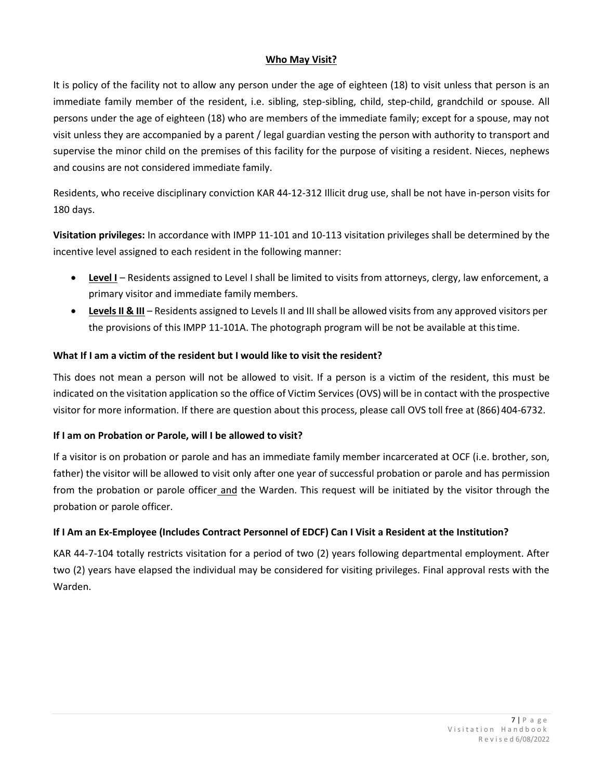#### **Who May Visit?**

It is policy of the facility not to allow any person under the age of eighteen (18) to visit unless that person is an immediate family member of the resident, i.e. sibling, step-sibling, child, step-child, grandchild or spouse. All persons under the age of eighteen (18) who are members of the immediate family; except for a spouse, may not visit unless they are accompanied by a parent / legal guardian vesting the person with authority to transport and supervise the minor child on the premises of this facility for the purpose of visiting a resident. Nieces, nephews and cousins are not considered immediate family.

Residents, who receive disciplinary conviction KAR 44-12-312 Illicit drug use, shall be not have in-person visits for 180 days.

**Visitation privileges:** In accordance with IMPP 11-101 and 10-113 visitation privileges shall be determined by the incentive level assigned to each resident in the following manner:

- **Level I** Residents assigned to Level I shall be limited to visits from attorneys, clergy, law enforcement, a primary visitor and immediate family members.
- **LevelsII & III** Residents assigned to Levels II and IIIshall be allowed visits from any approved visitors per the provisions of this IMPP 11-101A. The photograph program will be not be available at thistime.

# **What If I am a victim of the resident but I would like to visit the resident?**

This does not mean a person will not be allowed to visit. If a person is a victim of the resident, this must be indicated on the visitation application so the office of Victim Services (OVS) will be in contact with the prospective visitor for more information. If there are question about this process, please call OVS toll free at (866)404-6732.

# **If I am on Probation or Parole, will I be allowed to visit?**

If a visitor is on probation or parole and has an immediate family member incarcerated at OCF (i.e. brother, son, father) the visitor will be allowed to visit only after one year of successful probation or parole and has permission from the probation or parole officer and the Warden. This request will be initiated by the visitor through the probation or parole officer.

# **If I Am an Ex-Employee (Includes Contract Personnel of EDCF) Can I Visit a Resident at the Institution?**

KAR 44-7-104 totally restricts visitation for a period of two (2) years following departmental employment. After two (2) years have elapsed the individual may be considered for visiting privileges. Final approval rests with the Warden.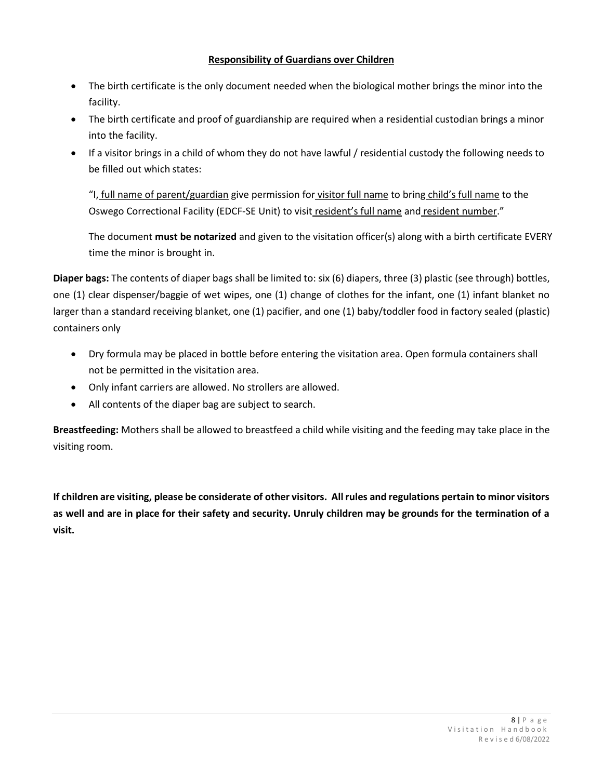#### **Responsibility of Guardians over Children**

- The birth certificate is the only document needed when the biological mother brings the minor into the facility.
- The birth certificate and proof of guardianship are required when a residential custodian brings a minor into the facility.
- If a visitor brings in a child of whom they do not have lawful / residential custody the following needs to be filled out which states:

"I, full name of parent/guardian give permission for visitor full name to bring child's full name to the Oswego Correctional Facility (EDCF-SE Unit) to visit resident's full name and resident number."

The document **must be notarized** and given to the visitation officer(s) along with a birth certificate EVERY time the minor is brought in.

**Diaper bags:** The contents of diaper bags shall be limited to: six (6) diapers, three (3) plastic (see through) bottles, one (1) clear dispenser/baggie of wet wipes, one (1) change of clothes for the infant, one (1) infant blanket no larger than a standard receiving blanket, one (1) pacifier, and one (1) baby/toddler food in factory sealed (plastic) containers only

- Dry formula may be placed in bottle before entering the visitation area. Open formula containers shall not be permitted in the visitation area.
- Only infant carriers are allowed. No strollers are allowed.
- All contents of the diaper bag are subject to search.

**Breastfeeding:** Mothers shall be allowed to breastfeed a child while visiting and the feeding may take place in the visiting room.

If children are visiting, please be considerate of other visitors. All rules and regulations pertain to minor visitors **as well and are in place for their safety and security. Unruly children may be grounds for the termination of a visit.**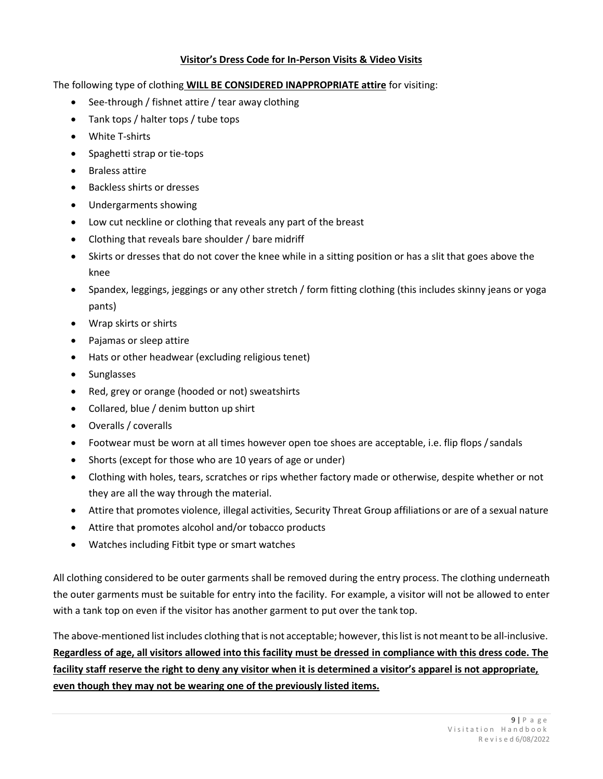#### **Visitor's Dress Code for In-Person Visits & Video Visits**

The following type of clothing **WILL BE CONSIDERED INAPPROPRIATE attire** for visiting:

- See-through / fishnet attire / tear away clothing
- Tank tops / halter tops / tube tops
- White T-shirts
- Spaghetti strap or tie-tops
- Braless attire
- Backless shirts or dresses
- Undergarments showing
- Low cut neckline or clothing that reveals any part of the breast
- Clothing that reveals bare shoulder / bare midriff
- Skirts or dresses that do not cover the knee while in a sitting position or has a slit that goes above the knee
- Spandex, leggings, jeggings or any other stretch / form fitting clothing (this includes skinny jeans or yoga pants)
- Wrap skirts or shirts
- Pajamas or sleep attire
- Hats or other headwear (excluding religious tenet)
- Sunglasses
- Red, grey or orange (hooded or not) sweatshirts
- Collared, blue / denim button up shirt
- Overalls / coveralls
- Footwear must be worn at all times however open toe shoes are acceptable, i.e. flip flops /sandals
- Shorts (except for those who are 10 years of age or under)
- Clothing with holes, tears, scratches or rips whether factory made or otherwise, despite whether or not they are all the way through the material.
- Attire that promotes violence, illegal activities, Security Threat Group affiliations or are of a sexual nature
- Attire that promotes alcohol and/or tobacco products
- Watches including Fitbit type or smart watches

All clothing considered to be outer garments shall be removed during the entry process. The clothing underneath the outer garments must be suitable for entry into the facility. For example, a visitor will not be allowed to enter with a tank top on even if the visitor has another garment to put over the tank top.

The above-mentioned list includes clothing that is not acceptable; however, this list is not meant to be all-inclusive. **Regardless of age, all visitors allowed into this facility must be dressed in compliance with this dress code. The facility staff reserve the right to deny any visitor when it is determined a visitor's apparel is not appropriate, even though they may not be wearing one of the previously listed items.**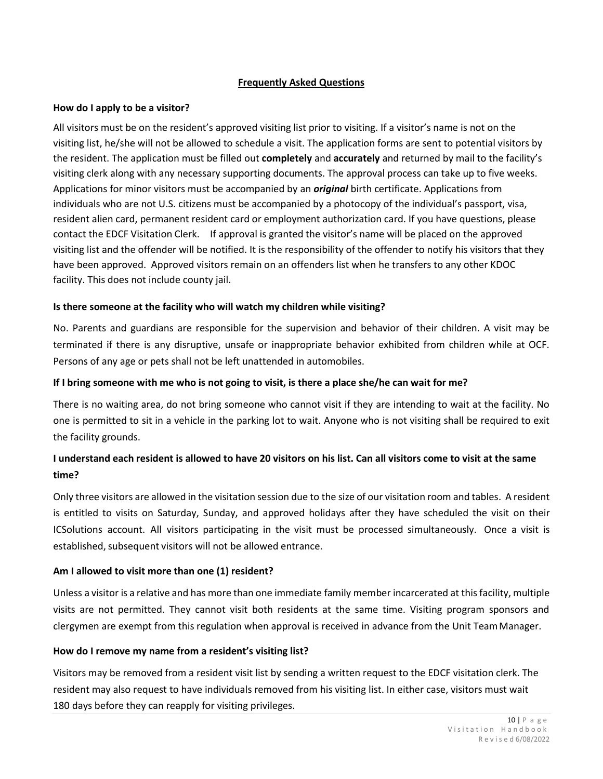#### **Frequently Asked Questions**

#### **How do I apply to be a visitor?**

All visitors must be on the resident's approved visiting list prior to visiting. If a visitor's name is not on the visiting list, he/she will not be allowed to schedule a visit. The application forms are sent to potential visitors by the resident. The application must be filled out **completely** and **accurately** and returned by mail to the facility's visiting clerk along with any necessary supporting documents. The approval process can take up to five weeks. Applications for minor visitors must be accompanied by an *original* birth certificate. Applications from individuals who are not U.S. citizens must be accompanied by a photocopy of the individual's passport, visa, resident alien card, permanent resident card or employment authorization card. If you have questions, please contact the EDCF Visitation Clerk. If approval is granted the visitor's name will be placed on the approved visiting list and the offender will be notified. It is the responsibility of the offender to notify his visitors that they have been approved. Approved visitors remain on an offenders list when he transfers to any other KDOC facility. This does not include county jail.

#### **Is there someone at the facility who will watch my children while visiting?**

No. Parents and guardians are responsible for the supervision and behavior of their children. A visit may be terminated if there is any disruptive, unsafe or inappropriate behavior exhibited from children while at OCF. Persons of any age or pets shall not be left unattended in automobiles.

#### **If I bring someone with me who is not going to visit, is there a place she/he can wait for me?**

There is no waiting area, do not bring someone who cannot visit if they are intending to wait at the facility. No one is permitted to sit in a vehicle in the parking lot to wait. Anyone who is not visiting shall be required to exit the facility grounds.

# **I understand each resident is allowed to have 20 visitors on his list. Can all visitors come to visit at the same time?**

Only three visitors are allowed in the visitation session due to the size of our visitation room and tables. A resident is entitled to visits on Saturday, Sunday, and approved holidays after they have scheduled the visit on their ICSolutions account. All visitors participating in the visit must be processed simultaneously. Once a visit is established, subsequent visitors will not be allowed entrance.

#### **Am I allowed to visit more than one (1) resident?**

Unless a visitor is a relative and has more than one immediate family member incarcerated at thisfacility, multiple visits are not permitted. They cannot visit both residents at the same time. Visiting program sponsors and clergymen are exempt from this regulation when approval is received in advance from the Unit TeamManager.

#### **How do I remove my name from a resident's visiting list?**

Visitors may be removed from a resident visit list by sending a written request to the EDCF visitation clerk. The resident may also request to have individuals removed from his visiting list. In either case, visitors must wait 180 days before they can reapply for visiting privileges.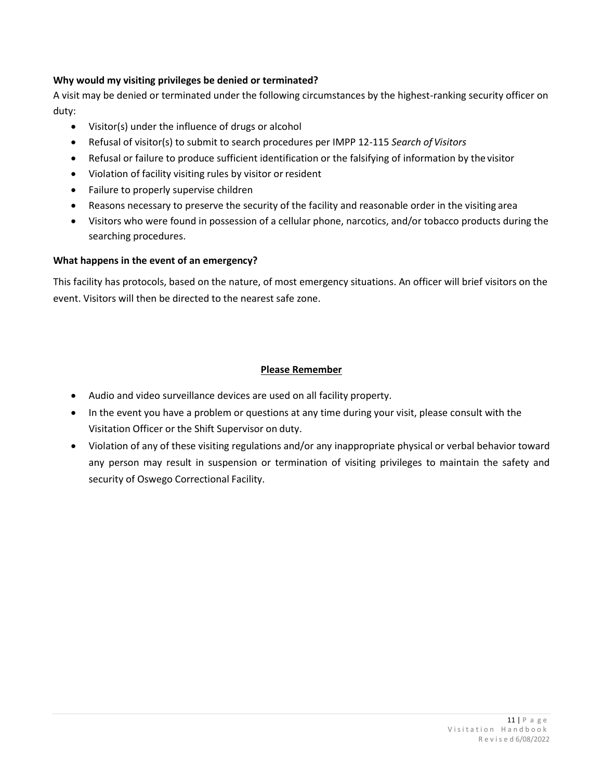# **Why would my visiting privileges be denied or terminated?**

A visit may be denied or terminated under the following circumstances by the highest-ranking security officer on duty:

- Visitor(s) under the influence of drugs or alcohol
- Refusal of visitor(s) to submit to search procedures per IMPP 12-115 *Search of Visitors*
- Refusal or failure to produce sufficient identification or the falsifying of information by the visitor
- Violation of facility visiting rules by visitor or resident
- Failure to properly supervise children
- Reasons necessary to preserve the security of the facility and reasonable order in the visiting area
- Visitors who were found in possession of a cellular phone, narcotics, and/or tobacco products during the searching procedures.

#### **What happens in the event of an emergency?**

This facility has protocols, based on the nature, of most emergency situations. An officer will brief visitors on the event. Visitors will then be directed to the nearest safe zone.

#### **Please Remember**

- Audio and video surveillance devices are used on all facility property.
- In the event you have a problem or questions at any time during your visit, please consult with the Visitation Officer or the Shift Supervisor on duty.
- Violation of any of these visiting regulations and/or any inappropriate physical or verbal behavior toward any person may result in suspension or termination of visiting privileges to maintain the safety and security of Oswego Correctional Facility.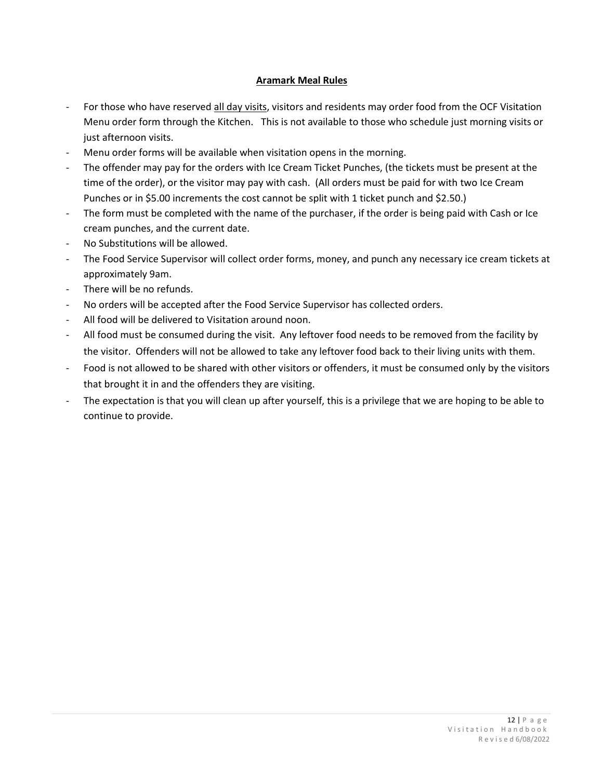## **Aramark Meal Rules**

- For those who have reserved all day visits, visitors and residents may order food from the OCF Visitation Menu order form through the Kitchen. This is not available to those who schedule just morning visits or just afternoon visits.
- Menu order forms will be available when visitation opens in the morning.
- The offender may pay for the orders with Ice Cream Ticket Punches, (the tickets must be present at the time of the order), or the visitor may pay with cash. (All orders must be paid for with two Ice Cream Punches or in \$5.00 increments the cost cannot be split with 1 ticket punch and \$2.50.)
- The form must be completed with the name of the purchaser, if the order is being paid with Cash or Ice cream punches, and the current date.
- No Substitutions will be allowed.
- The Food Service Supervisor will collect order forms, money, and punch any necessary ice cream tickets at approximately 9am.
- There will be no refunds.
- No orders will be accepted after the Food Service Supervisor has collected orders.
- All food will be delivered to Visitation around noon.
- All food must be consumed during the visit. Any leftover food needs to be removed from the facility by the visitor. Offenders will not be allowed to take any leftover food back to their living units with them.
- Food is not allowed to be shared with other visitors or offenders, it must be consumed only by the visitors that brought it in and the offenders they are visiting.
- The expectation is that you will clean up after yourself, this is a privilege that we are hoping to be able to continue to provide.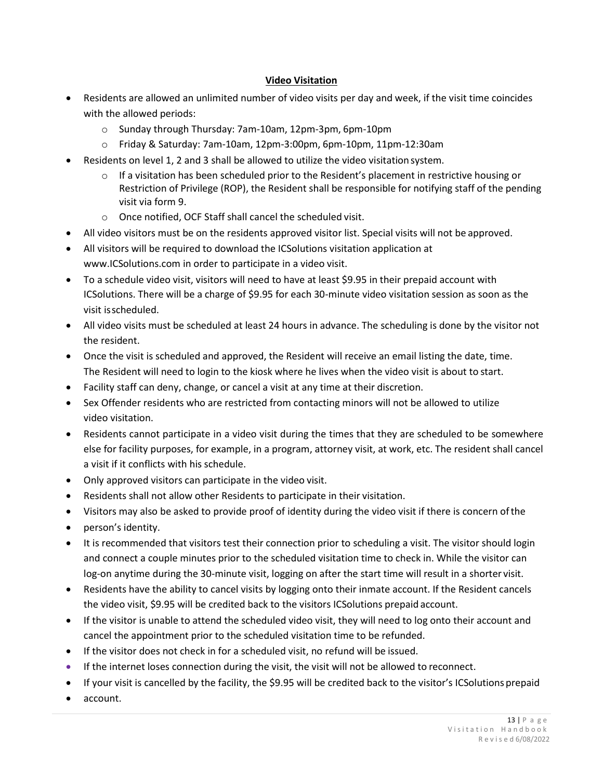#### **Video Visitation**

- Residents are allowed an unlimited number of video visits per day and week, if the visit time coincides with the allowed periods:
	- o Sunday through Thursday: 7am-10am, 12pm-3pm, 6pm-10pm
	- o Friday & Saturday: 7am-10am, 12pm-3:00pm, 6pm-10pm, 11pm-12:30am
- Residents on level 1, 2 and 3 shall be allowed to utilize the video visitationsystem.
	- $\circ$  If a visitation has been scheduled prior to the Resident's placement in restrictive housing or Restriction of Privilege (ROP), the Resident shall be responsible for notifying staff of the pending visit via form 9.
	- o Once notified, OCF Staff shall cancel the scheduled visit.
- All video visitors must be on the residents approved visitor list. Special visits will not be approved.
- All visitors will be required to download the ICSolutions visitation application at [www.ICSolutions.com i](http://www.icsolutions.com/)n order to participate in a video visit.
- To a schedule video visit, visitors will need to have at least \$9.95 in their prepaid account with ICSolutions. There will be a charge of \$9.95 for each 30-minute video visitation session as soon as the visit isscheduled.
- All video visits must be scheduled at least 24 hours in advance. The scheduling is done by the visitor not the resident.
- Once the visit is scheduled and approved, the Resident will receive an email listing the date, time. The Resident will need to login to the kiosk where he lives when the video visit is about to start.
- Facility staff can deny, change, or cancel a visit at any time at their discretion.
- Sex Offender residents who are restricted from contacting minors will not be allowed to utilize video visitation.
- Residents cannot participate in a video visit during the times that they are scheduled to be somewhere else for facility purposes, for example, in a program, attorney visit, at work, etc. The resident shall cancel a visit if it conflicts with his schedule.
- Only approved visitors can participate in the video visit.
- Residents shall not allow other Residents to participate in their visitation.
- Visitors may also be asked to provide proof of identity during the video visit if there is concern ofthe
- person's identity.
- It is recommended that visitors test their connection prior to scheduling a visit. The visitor should login and connect a couple minutes prior to the scheduled visitation time to check in. While the visitor can log-on anytime during the 30-minute visit, logging on after the start time will result in a shorter visit.
- Residents have the ability to cancel visits by logging onto their inmate account. If the Resident cancels the video visit, \$9.95 will be credited back to the visitors ICSolutions prepaid account.
- If the visitor is unable to attend the scheduled video visit, they will need to log onto their account and cancel the appointment prior to the scheduled visitation time to be refunded.
- If the visitor does not check in for a scheduled visit, no refund will be issued.
- If the internet loses connection during the visit, the visit will not be allowed to reconnect.
- If your visit is cancelled by the facility, the \$9.95 will be credited back to the visitor's ICSolutions prepaid
- account.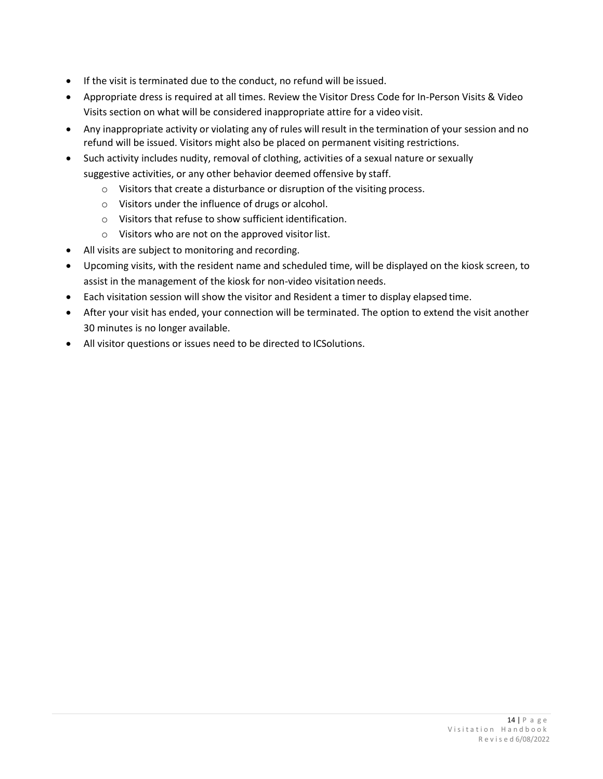- If the visit is terminated due to the conduct, no refund will be issued.
- Appropriate dress is required at all times. Review the Visitor Dress Code for In-Person Visits & Video Visits section on what will be considered inappropriate attire for a video visit.
- Any inappropriate activity or violating any of rules will result in the termination of your session and no refund will be issued. Visitors might also be placed on permanent visiting restrictions.
- Such activity includes nudity, removal of clothing, activities of a sexual nature or sexually suggestive activities, or any other behavior deemed offensive by staff.
	- o Visitors that create a disturbance or disruption of the visiting process.
	- o Visitors under the influence of drugs or alcohol.
	- o Visitors that refuse to show sufficient identification.
	- $\circ$  Visitors who are not on the approved visitor list.
- All visits are subject to monitoring and recording.
- Upcoming visits, with the resident name and scheduled time, will be displayed on the kiosk screen, to assist in the management of the kiosk for non-video visitation needs.
- Each visitation session will show the visitor and Resident a timer to display elapsed time.
- After your visit has ended, your connection will be terminated. The option to extend the visit another 30 minutes is no longer available.
- All visitor questions or issues need to be directed to ICSolutions.